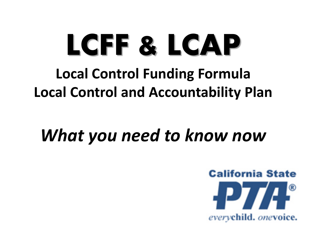# **LCFF & LCAP**

## **Local Control Funding Formula Local Control and Accountability Plan**

# *What you need to know now*

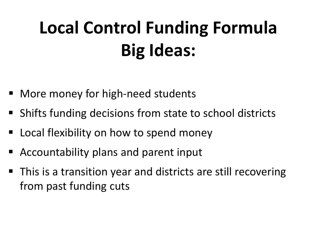# **Local Control Funding Formula Big Ideas:**

- More money for high-need students
- Shifts funding decisions from state to school districts
- Local flexibility on how to spend money
- Accountability plans and parent input
- This is a transition year and districts are still recovering from past funding cuts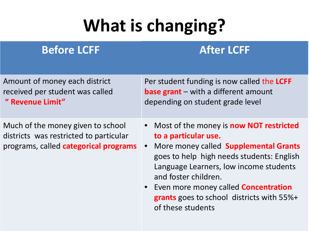# **What is changing?**

#### **Before LCFF After LCFF**

Amount of money each district received per student was called **" Revenue Limit"**

Much of the money given to school districts was restricted to particular programs, called **categorical programs**  Per student funding is now called the **LCFF base grant** – with a different amount depending on student grade level

- Most of the money is **now NOT restricted to a particular use.**
- More money called **Supplemental Grants**  goes to help high needs students: English Language Learners, low income students and foster children.
- Even more money called **Concentration grants** goes to school districts with 55%+ of these students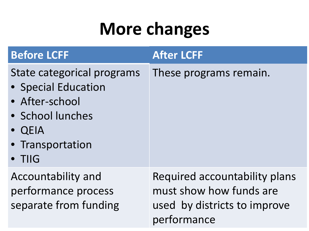# **More changes**

| <b>Before LCFF</b>                                                                                                                      | <b>After LCFF</b>                                                                                       |
|-----------------------------------------------------------------------------------------------------------------------------------------|---------------------------------------------------------------------------------------------------------|
| State categorical programs<br>• Special Education<br>• After-school<br>· School lunches<br>• QEIA<br>• Transportation<br>$\bullet$ TIIG | These programs remain.                                                                                  |
| Accountability and<br>performance process<br>separate from funding                                                                      | Required accountability plans<br>must show how funds are<br>used by districts to improve<br>performance |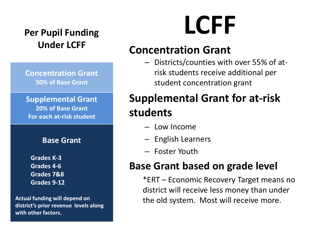# **Under LCFF**

**Concentration Grant 50% of Base Grant**

**Supplemental Grant 20% of Base Grant For each at-risk student**

#### **Base Grant**

**Grades K-3 Grades 4-6 Grades 7&8 Grades 9-12**

**Actual funding will depend on district's prior revenue levels along with other factors.**

# **Per Pupil Funding LCFF**

#### **Concentration Grant**

– Districts/counties with over 55% of atrisk students receive additional per student concentration grant

#### **Supplemental Grant for at-risk students**

- Low Income
- English Learners
- Foster Youth

#### **Base Grant based on grade level**

\*ERT – Economic Recovery Target means no district will receive less money than under the old system. Most will receive more.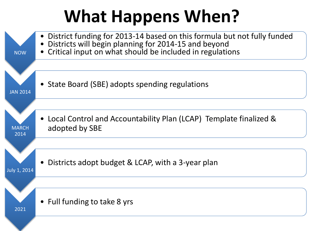# **What Happens When?**

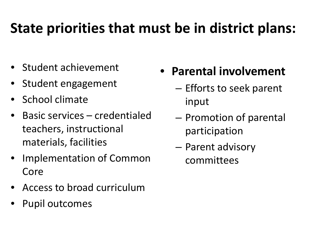## **State priorities that must be in district plans:**

- Student achievement
- Student engagement
- School climate
- Basic services credentialed teachers, instructional materials, facilities
- Implementation of Common Core
- Access to broad curriculum
- Pupil outcomes
- **Parental involvement**
	- Efforts to seek parent input
	- Promotion of parental participation
	- Parent advisory committees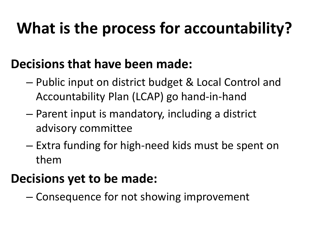# **What is the process for accountability?**

#### **Decisions that have been made:**

- Public input on district budget & Local Control and Accountability Plan (LCAP) go hand-in-hand
- Parent input is mandatory, including a district advisory committee
- Extra funding for high-need kids must be spent on them

### **Decisions yet to be made:**

– Consequence for not showing improvement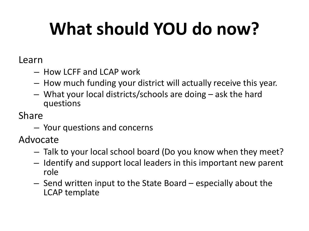# **What should YOU do now?**

Learn

- How LCFF and LCAP work
- How much funding your district will actually receive this year.
- What your local districts/schools are doing ask the hard questions

Share

– Your questions and concerns

Advocate

- Talk to your local school board (Do you know when they meet?
- Identify and support local leaders in this important new parent role
- Send written input to the State Board especially about the LCAP template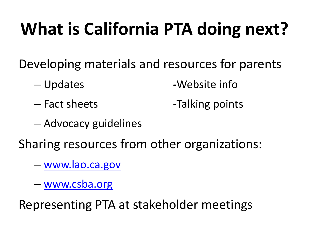# **What is California PTA doing next?**

Developing materials and resources for parents

- Updates **-**Website info
- 

– Fact sheets **-**Talking points

– Advocacy guidelines

Sharing resources from other organizations:

- [www.lao.ca.gov](http://www.lao.ca.gov/)
- [www.csba.org](http://www.csba.org/)

Representing PTA at stakeholder meetings